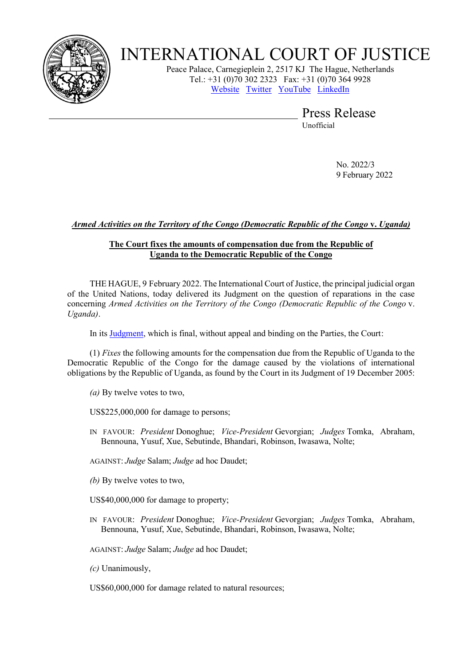

## INTERNATIONAL COURT OF JUSTICE

Peace Palace, Carnegieplein 2, 2517 KJ The Hague, Netherlands Tel.: +31 (0)70 302 2323 Fax: +31 (0)70 364 9928 [Website](https://www.icj-cij.org/) [Twitter](https://twitter.com/CIJ_ICJ) [YouTube](https://www.youtube.com/channel/UC28oiS6IwkVvWL7kLH1-QPg?app=desktop) [LinkedIn](https://www.linkedin.com/company/cour-internationale-de-justice-international-court-of-justice) 

> Press Release Unofficial

> > No. 2022/3 9 February 2022

## *Armed Activities on the Territory of the Congo (Democratic Republic of the Congo* **v.** *Uganda)*

## **The Court fixes the amounts of compensation due from the Republic of Uganda to the Democratic Republic of the Congo**

THE HAGUE, 9 February 2022. The International Court of Justice, the principal judicial organ of the United Nations, today delivered its Judgment on the question of reparations in the case concerning *Armed Activities on the Territory of the Congo (Democratic Republic of the Congo* v. *Uganda)*.

In its [Judgment,](https://www.icj-cij.org/public/files/case-related/116/116-20220209-JUD-01-00-EN.pdf) which is final, without appeal and binding on the Parties, the Court:

(1) *Fixes* the following amounts for the compensation due from the Republic of Uganda to the Democratic Republic of the Congo for the damage caused by the violations of international obligations by the Republic of Uganda, as found by the Court in its Judgment of 19 December 2005:

*(a)* By twelve votes to two,

US\$225,000,000 for damage to persons;

IN FAVOUR: *President* Donoghue; *Vice-President* Gevorgian; *Judges* Tomka, Abraham, Bennouna, Yusuf, Xue, Sebutinde, Bhandari, Robinson, Iwasawa, Nolte;

AGAINST: *Judge* Salam; *Judge* ad hoc Daudet;

*(b)* By twelve votes to two,

US\$40,000,000 for damage to property;

IN FAVOUR: *President* Donoghue; *Vice-President* Gevorgian; *Judges* Tomka, Abraham, Bennouna, Yusuf, Xue, Sebutinde, Bhandari, Robinson, Iwasawa, Nolte;

AGAINST: *Judge* Salam; *Judge* ad hoc Daudet;

*(c)* Unanimously,

US\$60,000,000 for damage related to natural resources;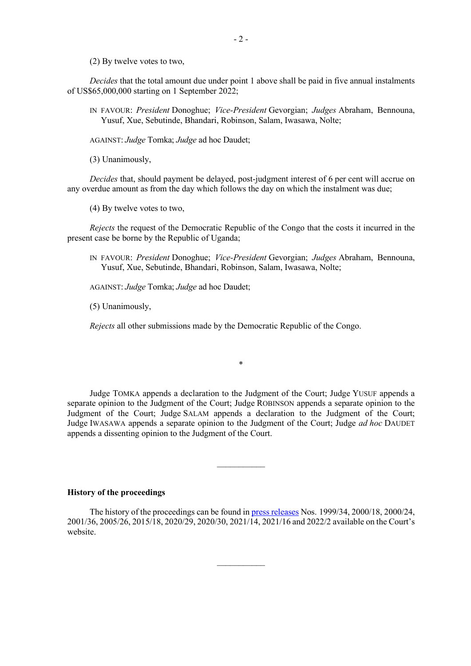(2) By twelve votes to two,

*Decides* that the total amount due under point 1 above shall be paid in five annual instalments of US\$65,000,000 starting on 1 September 2022;

IN FAVOUR: *President* Donoghue; *Vice-President* Gevorgian; *Judges* Abraham, Bennouna, Yusuf, Xue, Sebutinde, Bhandari, Robinson, Salam, Iwasawa, Nolte;

AGAINST: *Judge* Tomka; *Judge* ad hoc Daudet;

(3) Unanimously,

*Decides* that, should payment be delayed, post-judgment interest of 6 per cent will accrue on any overdue amount as from the day which follows the day on which the instalment was due;

(4) By twelve votes to two,

*Rejects* the request of the Democratic Republic of the Congo that the costs it incurred in the present case be borne by the Republic of Uganda;

IN FAVOUR: *President* Donoghue; *Vice-President* Gevorgian; *Judges* Abraham, Bennouna, Yusuf, Xue, Sebutinde, Bhandari, Robinson, Salam, Iwasawa, Nolte;

AGAINST: *Judge* Tomka; *Judge* ad hoc Daudet;

(5) Unanimously,

*Rejects* all other submissions made by the Democratic Republic of the Congo.

Judge TOMKA appends a declaration to the Judgment of the Court; Judge YUSUF appends a separate opinion to the Judgment of the Court; Judge ROBINSON appends a separate opinion to the Judgment of the Court; Judge SALAM appends a declaration to the Judgment of the Court; Judge IWASAWA appends a separate opinion to the Judgment of the Court; Judge *ad hoc* DAUDET appends a dissenting opinion to the Judgment of the Court.

 $\frac{1}{2}$ 

\*

## **History of the proceedings**

The history of the proceedings can be found in [press releases](https://www.icj-cij.org/en/case/116/press-releases) Nos. 1999/34, 2000/18, 2000/24, 2001/36, 2005/26, 2015/18, 2020/29, 2020/30, 2021/14, 2021/16 and 2022/2 available on the Court's website.

 $\overline{\phantom{a}}$